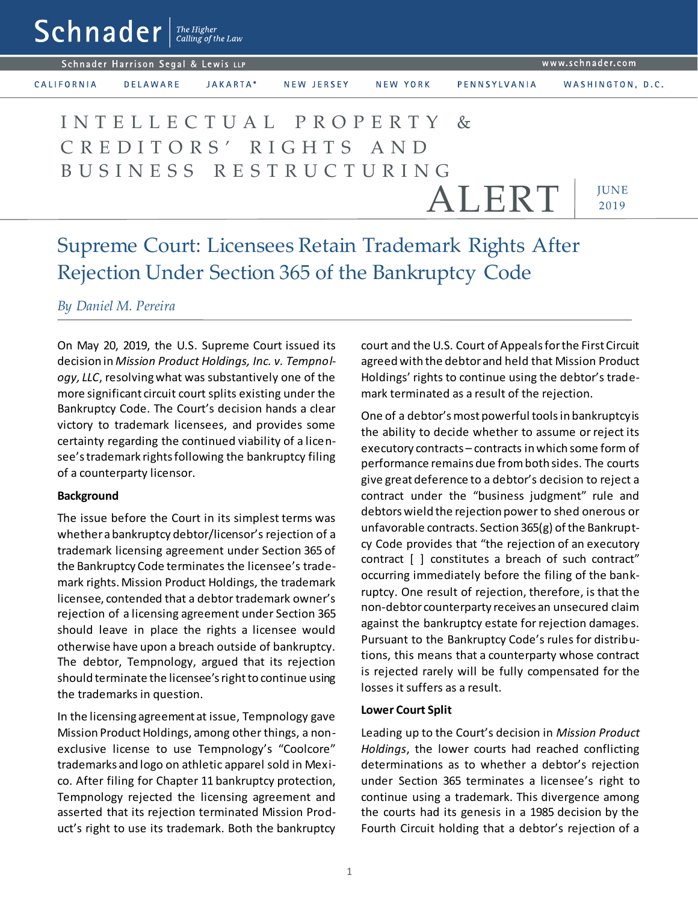$\mathsf{Sch}$ nader  $\vert$ <sup>The Higher</sup>

Schnader Harrison Segal & Lewis LLP

CALIFORNIA

**DELAWARE** JAKARTA\* NEW JERSEY

NEW YORK

WASHINGTON, D.C.

# *IUNE* 2019 I N T E L L E C T U A L P R O P E R T Y & C R E D I T O R S ' R I G H T S A N D B U S I N E S S R E S T R U C T U R I N G ALERT

# Supreme Court: Licensees Retain Trademark Rights After Rejection Under Section 365 of the Bankruptcy Code

# *By Daniel M. Pereira*

On May 20, 2019, the U.S. Supreme Court issued its decision in *Mission Product Holdings, Inc. v. Tempnology, LLC*, resolving what was substantively one of the more significant circuit court splits existing under the Bankruptcy Code. The Court's decision hands a clear victory to trademark licensees, and provides some certainty regarding the continued viability of a licensee's trademark rights following the bankruptcy filing of a counterparty licensor.

# **Background**

The issue before the Court in its simplest terms was whether a bankruptcy debtor/licensor's rejection of a trademark licensing agreement under Section 365 of the Bankruptcy Code terminates the licensee's trademark rights. Mission Product Holdings, the trademark licensee, contended that a debtor trademark owner's rejection of a licensing agreement under Section 365 should leave in place the rights a licensee would otherwise have upon a breach outside of bankruptcy. The debtor, Tempnology, argued that its rejection should terminate the licensee's right to continue using the trademarks in question.

In the licensing agreement at issue, Tempnology gave Mission Product Holdings, among other things, a nonexclusive license to use Tempnology's "Coolcore" trademarks and logo on athletic apparel sold in Mexico. After filing for Chapter 11 bankruptcy protection, Tempnology rejected the licensing agreement and asserted that its rejection terminated Mission Product's right to use its trademark. Both the bankruptcy court and the U.S. Court of Appeals for the First Circuit agreed with the debtor and held that Mission Product Holdings' rights to continue using the debtor's trademark terminated as a result of the rejection.

PENNSYLVANIA

One of a debtor's most powerful tools in bankruptcy is the ability to decide whether to assume or reject its executory contracts – contracts in which some form of performance remains due from both sides. The courts give great deference to a debtor's decision to reject a contract under the "business judgment" rule and debtors wield the rejection power to shed onerous or unfavorable contracts. Section 365(g) of the Bankruptcy Code provides that "the rejection of an executory contract [ ] constitutes a breach of such contract" occurring immediately before the filing of the bankruptcy. One result of rejection, therefore, is that the non-debtor counterparty receives an unsecured claim against the bankruptcy estate for rejection damages. Pursuant to the Bankruptcy Code's rules for distributions, this means that a counterparty whose contract is rejected rarely will be fully compensated for the losses it suffers as a result.

#### **Lower Court Split**

Leading up to the Court's decision in *Mission Product Holdings*, the lower courts had reached conflicting determinations as to whether a debtor's rejection under Section 365 terminates a licensee's right to continue using a trademark. This divergence among the courts had its genesis in a 1985 decision by the Fourth Circuit holding that a debtor's rejection of a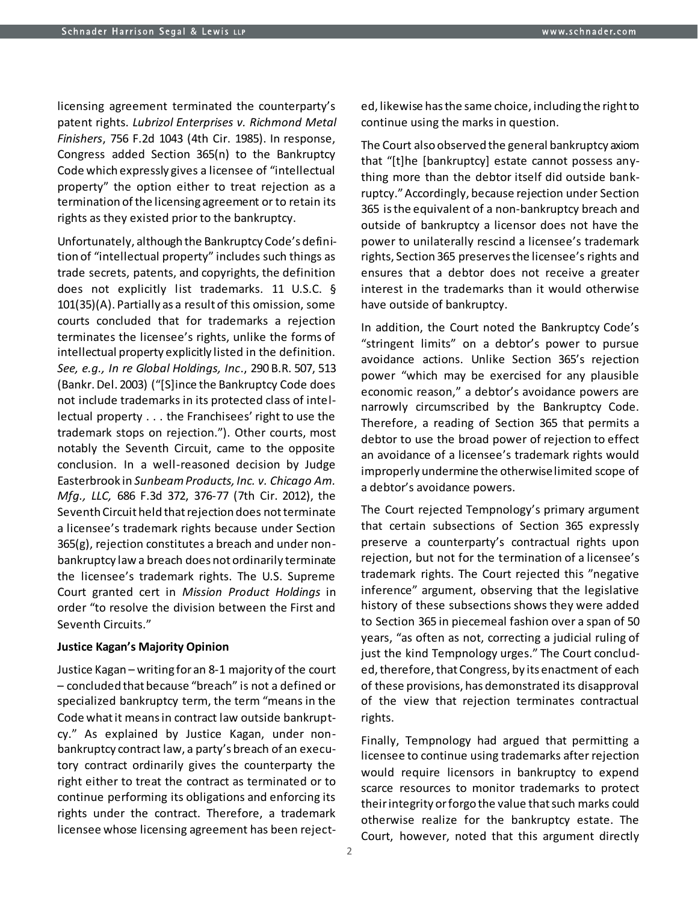licensing agreement terminated the counterparty's patent rights. *Lubrizol Enterprises v. Richmond Metal Finishers*, 756 F.2d 1043 (4th Cir. 1985). In response, Congress added Section 365(n) to the Bankruptcy Code which expressly gives a licensee of "intellectual property" the option either to treat rejection as a termination of the licensing agreement or to retain its rights as they existed prior to the bankruptcy.

Unfortunately, although the Bankruptcy Code's definition of "intellectual property" includes such things as trade secrets, patents, and copyrights, the definition does not explicitly list trademarks. 11 U.S.C. § 101(35)(A). Partially as a result of this omission, some courts concluded that for trademarks a rejection terminates the licensee's rights, unlike the forms of intellectual property explicitly listed in the definition. *See, e.g., In re Global Holdings, Inc*., 290 B.R. 507, 513 (Bankr. Del. 2003) ("[S]ince the Bankruptcy Code does not include trademarks in its protected class of intellectual property . . . the Franchisees' right to use the trademark stops on rejection."). Other courts, most notably the Seventh Circuit, came to the opposite conclusion. In a well-reasoned decision by Judge Easterbrook in *Sunbeam Products, Inc. v. Chicago Am. Mfg., LLC,* 686 F.3d 372, 376-77 (7th Cir. 2012), the Seventh Circuit held that rejection does not terminate a licensee's trademark rights because under Section 365(g), rejection constitutes a breach and under nonbankruptcy law a breach does not ordinarily terminate the licensee's trademark rights. The U.S. Supreme Court granted cert in *Mission Product Holdings* in order "to resolve the division between the First and Seventh Circuits."

#### **Justice Kagan's Majority Opinion**

Justice Kagan – writing for an 8-1 majority of the court – concluded that because "breach" is not a defined or specialized bankruptcy term, the term "means in the Code what it means in contract law outside bankruptcy." As explained by Justice Kagan, under nonbankruptcy contract law, a party's breach of an executory contract ordinarily gives the counterparty the right either to treat the contract as terminated or to continue performing its obligations and enforcing its rights under the contract. Therefore, a trademark licensee whose licensing agreement has been rejected, likewise has the same choice, including the right to continue using the marks in question.

The Court also observed the general bankruptcy axiom that "[t]he [bankruptcy] estate cannot possess anything more than the debtor itself did outside bankruptcy." Accordingly, because rejection under Section 365 is the equivalent of a non-bankruptcy breach and outside of bankruptcy a licensor does not have the power to unilaterally rescind a licensee's trademark rights, Section 365 preserves the licensee's rights and ensures that a debtor does not receive a greater interest in the trademarks than it would otherwise have outside of bankruptcy.

In addition, the Court noted the Bankruptcy Code's "stringent limits" on a debtor's power to pursue avoidance actions. Unlike Section 365's rejection power "which may be exercised for any plausible economic reason," a debtor's avoidance powers are narrowly circumscribed by the Bankruptcy Code. Therefore, a reading of Section 365 that permits a debtor to use the broad power of rejection to effect an avoidance of a licensee's trademark rights would improperly undermine the otherwise limited scope of a debtor's avoidance powers.

The Court rejected Tempnology's primary argument that certain subsections of Section 365 expressly preserve a counterparty's contractual rights upon rejection, but not for the termination of a licensee's trademark rights. The Court rejected this "negative inference" argument, observing that the legislative history of these subsections shows they were added to Section 365 in piecemeal fashion over a span of 50 years, "as often as not, correcting a judicial ruling of just the kind Tempnology urges." The Court concluded, therefore, that Congress, by its enactment of each of these provisions, has demonstrated its disapproval of the view that rejection terminates contractual rights.

Finally, Tempnology had argued that permitting a licensee to continue using trademarks after rejection would require licensors in bankruptcy to expend scarce resources to monitor trademarks to protect their integrity or forgo the value that such marks could otherwise realize for the bankruptcy estate. The Court, however, noted that this argument directly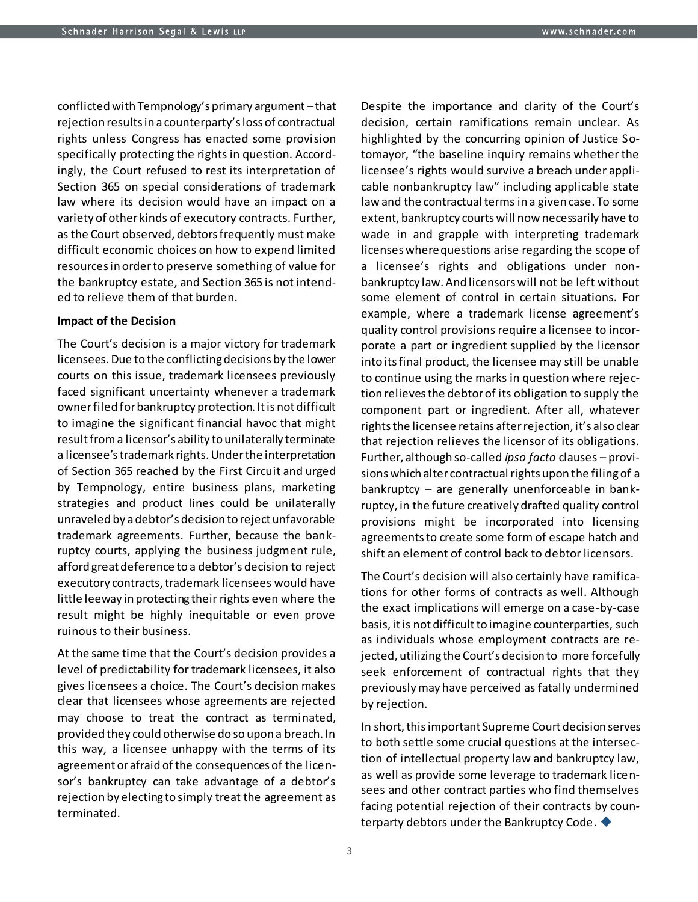conflicted with Tempnology's primary argument –that rejection results in a counterparty's loss of contractual rights unless Congress has enacted some provision specifically protecting the rights in question. Accordingly, the Court refused to rest its interpretation of Section 365 on special considerations of trademark law where its decision would have an impact on a variety of other kinds of executory contracts. Further, as the Court observed, debtors frequently must make difficult economic choices on how to expend limited resources in order to preserve something of value for the bankruptcy estate, and Section 365 is not intended to relieve them of that burden.

#### **Impact of the Decision**

The Court's decision is a major victory for trademark licensees. Due to the conflicting decisions by the lower courts on this issue, trademark licensees previously faced significant uncertainty whenever a trademark owner filed for bankruptcy protection. It is not difficult to imagine the significant financial havoc that might result from a licensor's ability to unilaterally terminate a licensee's trademark rights. Under the interpretation of Section 365 reached by the First Circuit and urged by Tempnology, entire business plans, marketing strategies and product lines could be unilaterally unraveled by a debtor's decision to reject unfavorable trademark agreements. Further, because the bankruptcy courts, applying the business judgment rule, afford great deference to a debtor's decision to reject executory contracts, trademark licensees would have little leeway in protecting their rights even where the result might be highly inequitable or even prove ruinous to their business.

At the same time that the Court's decision provides a level of predictability for trademark licensees, it also gives licensees a choice. The Court's decision makes clear that licensees whose agreements are rejected may choose to treat the contract as terminated, provided they could otherwise do so upon a breach. In this way, a licensee unhappy with the terms of its agreement or afraid of the consequences of the licensor's bankruptcy can take advantage of a debtor's rejection by electing to simply treat the agreement as terminated.

Despite the importance and clarity of the Court's decision, certain ramifications remain unclear. As highlighted by the concurring opinion of Justice Sotomayor, "the baseline inquiry remains whether the licensee's rights would survive a breach under applicable nonbankruptcy law" including applicable state law and the contractual terms in a given case. To some extent, bankruptcy courts will now necessarily have to wade in and grapple with interpreting trademark licenses where questions arise regarding the scope of a licensee's rights and obligations under nonbankruptcy law. And licensors will not be left without some element of control in certain situations. For example, where a trademark license agreement's quality control provisions require a licensee to incorporate a part or ingredient supplied by the licensor into its final product, the licensee may still be unable to continue using the marks in question where rejection relieves the debtor of its obligation to supply the component part or ingredient. After all, whatever rights the licensee retains after rejection, it's also clear that rejection relieves the licensor of its obligations. Further, although so-called *ipso facto* clauses – provisions which alter contractual rights upon the filing of a bankruptcy – are generally unenforceable in bankruptcy, in the future creatively drafted quality control provisions might be incorporated into licensing agreements to create some form of escape hatch and shift an element of control back to debtor licensors.

The Court's decision will also certainly have ramifications for other forms of contracts as well. Although the exact implications will emerge on a case-by-case basis, it is not difficult to imagine counterparties, such as individuals whose employment contracts are rejected, utilizing the Court's decision to more forcefully seek enforcement of contractual rights that they previously may have perceived as fatally undermined by rejection.

In short, this important Supreme Court decision serves to both settle some crucial questions at the intersection of intellectual property law and bankruptcy law, as well as provide some leverage to trademark licensees and other contract parties who find themselves facing potential rejection of their contracts by counterparty debtors under the Bankruptcy Code.

3